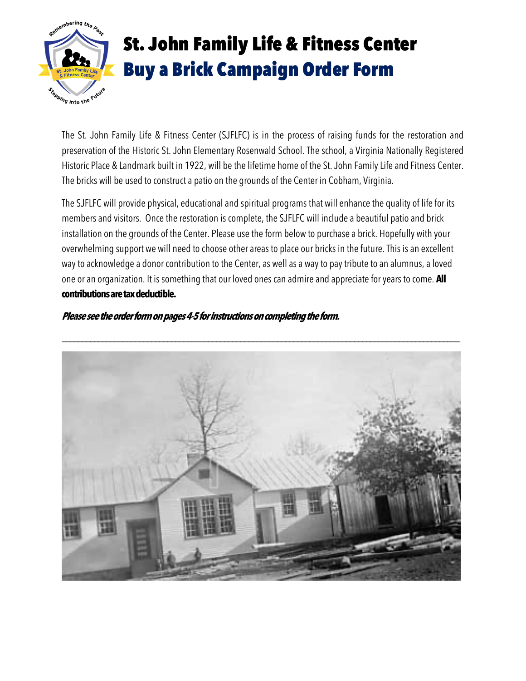

# St. John Family Life & Fitness Center Buy a Brick Campaign Order Form

The St. John Family Life & Fitness Center (SJFLFC) is in the process of raising funds for the restoration and preservation of the Historic St. John Elementary Rosenwald School. The school, a Virginia Nationally Registered Historic Place & Landmark built in 1922, will be the lifetime home of the St. John Family Life and Fitness Center. The bricks will be used to construct a patio on the grounds of the Center in Cobham, Virginia.

The SJFLFC will provide physical, educational and spiritual programs that will enhance the quality of life for its members and visitors. Once the restoration is complete, the SJFLFC will include a beautiful patio and brick installation on the grounds of the Center. Please use the form below to purchase a brick. Hopefully with your overwhelming support we will need to choose other areas to place our bricks in the future. This is an excellent wayto acknowledge a donor contribution to the Center, as well as a wayto paytribute to an alumnus, a loved one or an organization. It is something that our loved ones can admire and appreciate foryears to come. **All contributionsaretaxdeductible.**

## **Please see the order form on pages 4-5 for instructions on completing the form.**

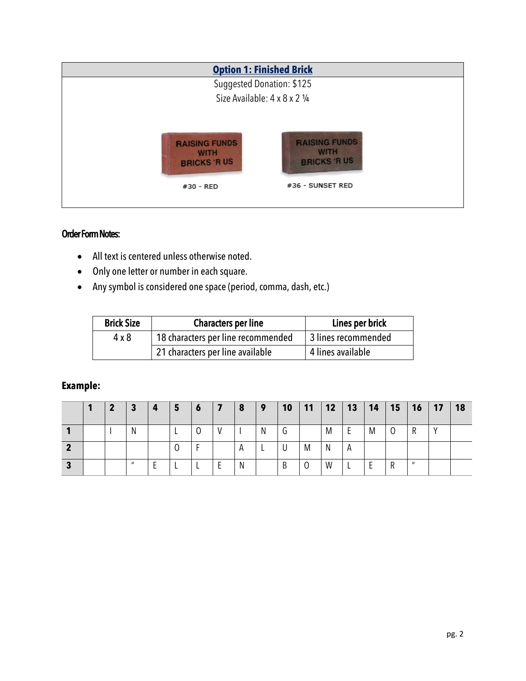| <b>Option 1: Finished Brick</b>                           |                                                           |
|-----------------------------------------------------------|-----------------------------------------------------------|
| Suggested Donation: \$125                                 |                                                           |
| Size Available: 4 x 8 x 2 1/4                             |                                                           |
|                                                           |                                                           |
| <b>RAISING FUNDS</b><br><b>WITH</b><br><b>BRICKS 'RUS</b> | <b>RAISING FUNDS</b><br><b>WITH</b><br><b>BRICKS 'RUS</b> |
| #30 - RED                                                 | #36 - SUNSET RED                                          |
|                                                           |                                                           |

# Order Form Notes:

- All text is centered unless otherwise noted.
- Only one letter or number in each square.
- Any symbol is considered one space (period, comma, dash, etc.)

| <b>Brick Size</b> | <b>Characters per line</b>         | Lines per brick     |
|-------------------|------------------------------------|---------------------|
| $4 \times 8$      | 18 characters per line recommended | 3 lines recommended |
|                   | 21 characters per line available   | 4 lines available   |

# **Example:**

|   |  | З            | 4 | ' 5 | $\boldsymbol{6}$ | 8 | $\vert$ 9 | 10 | 11             | 12 | 13       | 14 | <b>15</b> | <b>16</b>    | 17 | 18 |
|---|--|--------------|---|-----|------------------|---|-----------|----|----------------|----|----------|----|-----------|--------------|----|----|
|   |  | N            |   |     | 0                |   | N         | U  |                | M  | Ε        | M  | 0         | R            |    |    |
|   |  |              |   |     |                  | A |           | U  | M              | N  | A        |    |           |              |    |    |
| З |  | $\mathbf{u}$ |   |     |                  | N |           | B  | $\overline{0}$ | W  | <b>.</b> | Ε  | R         | $\mathbf{u}$ |    |    |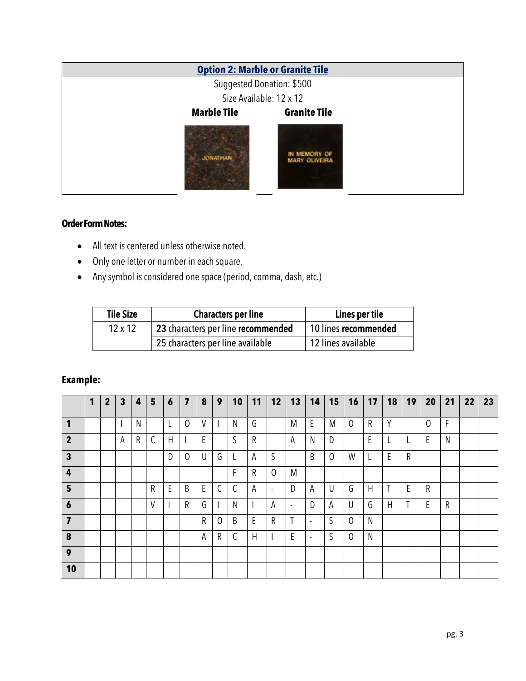|                    | <b>Option 2: Marble or Granite Tile</b> |
|--------------------|-----------------------------------------|
|                    | Suggested Donation: \$500               |
|                    | Size Available: 12 x 12                 |
| <b>Marble Tile</b> | <b>Granite Tile</b>                     |
| <b>JONATHAN</b>    | IN MEMORY OF<br><b>MARY OLIVEIRA</b>    |

## **Order Form Notes:**

- All text is centered unless otherwise noted.
- Only one letter or number in each square.
- Any symbol is considered one space (period, comma, dash, etc.)

| <b>Tile Size</b> | <b>Characters per line</b>         | Lines per tile       |
|------------------|------------------------------------|----------------------|
| $12 \times 12$   | 23 characters per line recommended | 10 lines recommended |
|                  | 25 characters per line available   | 12 lines available   |

## **Example:**

|                         | 1 | $\overline{2}$ | $\mathbf{3}$ | $\overline{4}$ | 5            | $\boldsymbol{6}$         | $\overline{\mathbf{z}}$ | 8            | 9              | 10           | 11           | 12             | 13                       | 14                       | 15             | $16$   17      |    | 18          | 19          | 20             | 21 | 22 | 23 |
|-------------------------|---|----------------|--------------|----------------|--------------|--------------------------|-------------------------|--------------|----------------|--------------|--------------|----------------|--------------------------|--------------------------|----------------|----------------|----|-------------|-------------|----------------|----|----|----|
| 1                       |   |                |              | N              |              | L                        | $\overline{0}$          | $\mathsf{V}$ |                | N            | G            |                | M                        | E                        | M              | $\overline{0}$ | R  | Y           |             | $\overline{0}$ | F  |    |    |
| $\overline{2}$          |   |                | А            | ${\sf R}$      | $\mathsf{C}$ | H                        |                         | E            |                | S            | $\mathsf R$  |                | А                        | N                        | D              |                | E. |             |             | E              | N  |    |    |
| $\mathbf{3}$            |   |                |              |                |              | D                        | $\overline{0}$          | $\cup$       | G              |              | Α            | S              |                          | B                        | $\overline{0}$ | W              |    | $\mathsf E$ | $\mathsf R$ |                |    |    |    |
| $\boldsymbol{4}$        |   |                |              |                |              |                          |                         |              |                | F            | R            | $\mathbf 0$    | M                        |                          |                |                |    |             |             |                |    |    |    |
| $5\phantom{1}$          |   |                |              |                | $\mathsf R$  | E                        | B                       | $\mathsf E$  | $\mathsf C$    | $\mathsf{C}$ | А            | $\blacksquare$ | D                        | A                        | U              | G              | H  | T           | E           | $\mathsf R$    |    |    |    |
| $\boldsymbol{6}$        |   |                |              |                | V            | $\overline{\phantom{a}}$ | $\mathsf R$             | G            |                | N            |              | А              | $\overline{\phantom{a}}$ | D                        | А              | U              | G  | H           |             | E              | R  |    |    |
| $\overline{\mathbf{z}}$ |   |                |              |                |              |                          |                         | $\mathsf R$  | $\overline{0}$ | B            | $\mathsf E$  | R              | T                        | $\overline{\phantom{a}}$ | S              | $\overline{0}$ | N  |             |             |                |    |    |    |
| 8                       |   |                |              |                |              |                          |                         | A            | R              | $\mathsf{C}$ | $\mathsf{H}$ |                | E                        | $\overline{\phantom{a}}$ | S              | $\Omega$       | N  |             |             |                |    |    |    |
| 9                       |   |                |              |                |              |                          |                         |              |                |              |              |                |                          |                          |                |                |    |             |             |                |    |    |    |
| 10                      |   |                |              |                |              |                          |                         |              |                |              |              |                |                          |                          |                |                |    |             |             |                |    |    |    |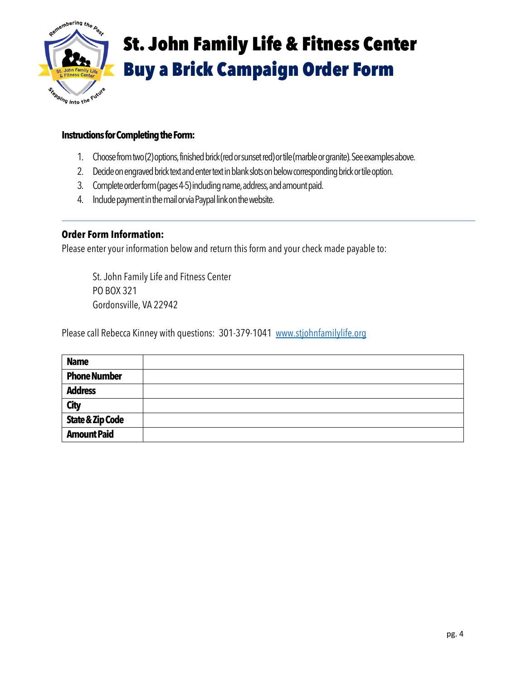

# St. John Family Life & Fitness Center Buy a Brick Campaign Order Form

#### **Instructions for Completing the Form:**

- 1. Choose from two (2) options, finished brick (red or sunset red) or tile (marble or granite). See examples above.
- 2. Decide on engraved brick text and enter text in blank slots on below corresponding brick or tile option.
- 3. Complete order form (pages 4-5) including name, address, and amount paid.
- 4. Include payment in the mail or via Paypal link on the website.

#### **Order Form Information:**

Please enter your information below and return this form and your check made payable to:

St. John Family Life and Fitness Center PO BOX 321 Gordonsville, VA 22942

Please call Rebecca Kinney with questions: 301-379-1041 www.stjohnfamilylife.org

| <b>Name</b>                 |  |
|-----------------------------|--|
| <b>Phone Number</b>         |  |
| <b>Address</b>              |  |
| <b>City</b>                 |  |
| <b>State &amp; Zip Code</b> |  |
| <b>Amount Paid</b>          |  |